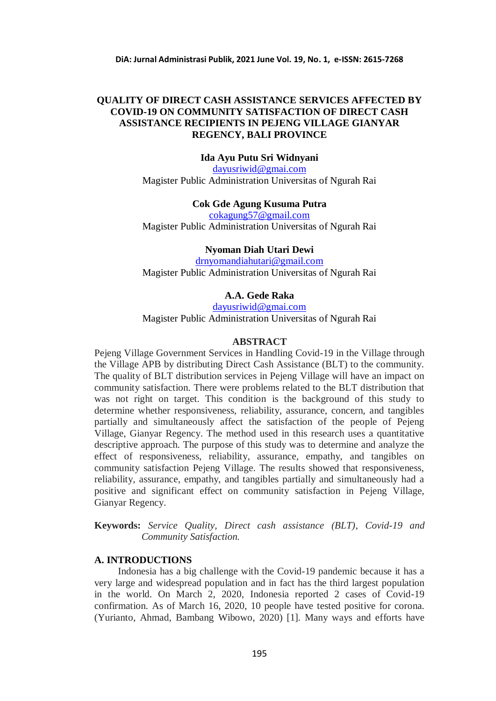# **QUALITY OF DIRECT CASH ASSISTANCE SERVICES AFFECTED BY COVID-19 ON COMMUNITY SATISFACTION OF DIRECT CASH ASSISTANCE RECIPIENTS IN PEJENG VILLAGE GIANYAR REGENCY, BALI PROVINCE**

**Ida Ayu Putu Sri Widnyani**

[dayusriwid@gmai.com](mailto:dayusriwid@gmai.com) Magister Public Administration Universitas of Ngurah Rai

## **Cok Gde Agung Kusuma Putra**

[cokagung57@gmail.com](mailto:cokagung57@gmail.com) Magister Public Administration Universitas of Ngurah Rai

## **Nyoman Diah Utari Dewi**

[drnyomandiahutari@gmail.com](mailto:drnyomandiahutari@gmail.com) Magister Public Administration Universitas of Ngurah Rai

# **A.A. Gede Raka**

[dayusriwid@gmai.com](mailto:dayusriwid@gmai.com) Magister Public Administration Universitas of Ngurah Rai

## **ABSTRACT**

Pejeng Village Government Services in Handling Covid-19 in the Village through the Village APB by distributing Direct Cash Assistance (BLT) to the community. The quality of BLT distribution services in Pejeng Village will have an impact on community satisfaction. There were problems related to the BLT distribution that was not right on target. This condition is the background of this study to determine whether responsiveness, reliability, assurance, concern, and tangibles partially and simultaneously affect the satisfaction of the people of Pejeng Village, Gianyar Regency. The method used in this research uses a quantitative descriptive approach. The purpose of this study was to determine and analyze the effect of responsiveness, reliability, assurance, empathy, and tangibles on community satisfaction Pejeng Village. The results showed that responsiveness, reliability, assurance, empathy, and tangibles partially and simultaneously had a positive and significant effect on community satisfaction in Pejeng Village, Gianyar Regency.

**Keywords:** *Service Quality, Direct cash assistance (BLT), Covid-19 and Community Satisfaction.*

# **A. INTRODUCTIONS**

Indonesia has a big challenge with the Covid-19 pandemic because it has a very large and widespread population and in fact has the third largest population in the world. On March 2, 2020, Indonesia reported 2 cases of Covid-19 confirmation. As of March 16, 2020, 10 people have tested positive for corona. (Yurianto, Ahmad, Bambang Wibowo, 2020) [1]. Many ways and efforts have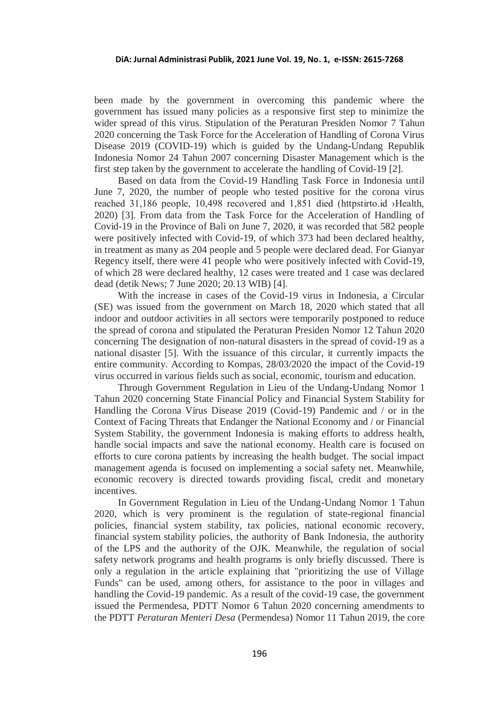been made by the government in overcoming this pandemic where the government has issued many policies as a responsive first step to minimize the wider spread of this virus. Stipulation of the Peraturan Presiden Nomor 7 Tahun 2020 concerning the Task Force for the Acceleration of Handling of Corona Virus Disease 2019 (COVID-19) which is guided by the Undang-Undang Republik Indonesia Nomor 24 Tahun 2007 concerning Disaster Management which is the first step taken by the government to accelerate the handling of Covid-19 [2].

Based on data from the Covid-19 Handling Task Force in Indonesia until June 7, 2020, the number of people who tested positive for the corona virus reached 31,186 people, 10,498 recovered and 1,851 died (httpstirto.id ›Health, 2020) [3]. From data from the Task Force for the Acceleration of Handling of Covid-19 in the Province of Bali on June 7, 2020, it was recorded that 582 people were positively infected with Covid-19, of which 373 had been declared healthy, in treatment as many as 204 people and 5 people were declared dead. For Gianyar Regency itself, there were 41 people who were positively infected with Covid-19, of which 28 were declared healthy, 12 cases were treated and 1 case was declared dead (detik News; 7 June 2020; 20.13 WIB) [4].

With the increase in cases of the Covid-19 virus in Indonesia, a Circular (SE) was issued from the government on March 18, 2020 which stated that all indoor and outdoor activities in all sectors were temporarily postponed to reduce the spread of corona and stipulated the Peraturan Presiden Nomor 12 Tahun 2020 concerning The designation of non-natural disasters in the spread of covid-19 as a national disaster [5]. With the issuance of this circular, it currently impacts the entire community. According to Kompas, 28/03/2020 the impact of the Covid-19 virus occurred in various fields such as social, economic, tourism and education.

Through Government Regulation in Lieu of the Undang-Undang Nomor 1 Tahun 2020 concerning State Financial Policy and Financial System Stability for Handling the Corona Virus Disease 2019 (Covid-19) Pandemic and / or in the Context of Facing Threats that Endanger the National Economy and / or Financial System Stability, the government Indonesia is making efforts to address health, handle social impacts and save the national economy. Health care is focused on efforts to cure corona patients by increasing the health budget. The social impact management agenda is focused on implementing a social safety net. Meanwhile, economic recovery is directed towards providing fiscal, credit and monetary incentives.

In Government Regulation in Lieu of the Undang-Undang Nomor 1 Tahun 2020, which is very prominent is the regulation of state-regional financial policies, financial system stability, tax policies, national economic recovery, financial system stability policies, the authority of Bank Indonesia, the authority of the LPS and the authority of the OJK. Meanwhile, the regulation of social safety network programs and health programs is only briefly discussed. There is only a regulation in the article explaining that "prioritizing the use of Village Funds" can be used, among others, for assistance to the poor in villages and handling the Covid-19 pandemic. As a result of the covid-19 case, the government issued the Permendesa, PDTT Nomor 6 Tahun 2020 concerning amendments to the PDTT *Peraturan Menteri Desa* (Permendesa) Nomor 11 Tahun 2019, the core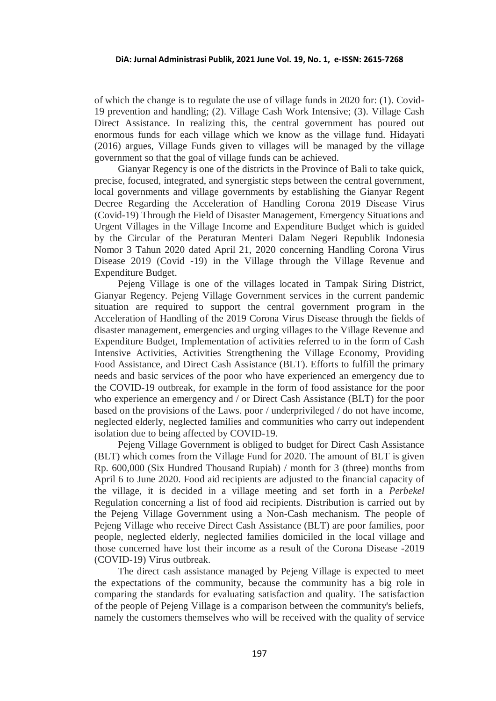of which the change is to regulate the use of village funds in 2020 for: (1). Covid-19 prevention and handling; (2). Village Cash Work Intensive; (3). Village Cash Direct Assistance. In realizing this, the central government has poured out enormous funds for each village which we know as the village fund. Hidayati (2016) argues, Village Funds given to villages will be managed by the village government so that the goal of village funds can be achieved.

Gianyar Regency is one of the districts in the Province of Bali to take quick, precise, focused, integrated, and synergistic steps between the central government, local governments and village governments by establishing the Gianyar Regent Decree Regarding the Acceleration of Handling Corona 2019 Disease Virus (Covid-19) Through the Field of Disaster Management, Emergency Situations and Urgent Villages in the Village Income and Expenditure Budget which is guided by the Circular of the Peraturan Menteri Dalam Negeri Republik Indonesia Nomor 3 Tahun 2020 dated April 21, 2020 concerning Handling Corona Virus Disease 2019 (Covid -19) in the Village through the Village Revenue and Expenditure Budget.

Pejeng Village is one of the villages located in Tampak Siring District, Gianyar Regency. Pejeng Village Government services in the current pandemic situation are required to support the central government program in the Acceleration of Handling of the 2019 Corona Virus Disease through the fields of disaster management, emergencies and urging villages to the Village Revenue and Expenditure Budget, Implementation of activities referred to in the form of Cash Intensive Activities, Activities Strengthening the Village Economy, Providing Food Assistance, and Direct Cash Assistance (BLT). Efforts to fulfill the primary needs and basic services of the poor who have experienced an emergency due to the COVID-19 outbreak, for example in the form of food assistance for the poor who experience an emergency and / or Direct Cash Assistance (BLT) for the poor based on the provisions of the Laws. poor / underprivileged / do not have income, neglected elderly, neglected families and communities who carry out independent isolation due to being affected by COVID-19.

Pejeng Village Government is obliged to budget for Direct Cash Assistance (BLT) which comes from the Village Fund for 2020. The amount of BLT is given Rp. 600,000 (Six Hundred Thousand Rupiah) / month for 3 (three) months from April 6 to June 2020. Food aid recipients are adjusted to the financial capacity of the village, it is decided in a village meeting and set forth in a *Perbekel*  Regulation concerning a list of food aid recipients. Distribution is carried out by the Pejeng Village Government using a Non-Cash mechanism. The people of Pejeng Village who receive Direct Cash Assistance (BLT) are poor families, poor people, neglected elderly, neglected families domiciled in the local village and those concerned have lost their income as a result of the Corona Disease -2019 (COVID-19) Virus outbreak.

The direct cash assistance managed by Pejeng Village is expected to meet the expectations of the community, because the community has a big role in comparing the standards for evaluating satisfaction and quality. The satisfaction of the people of Pejeng Village is a comparison between the community's beliefs, namely the customers themselves who will be received with the quality of service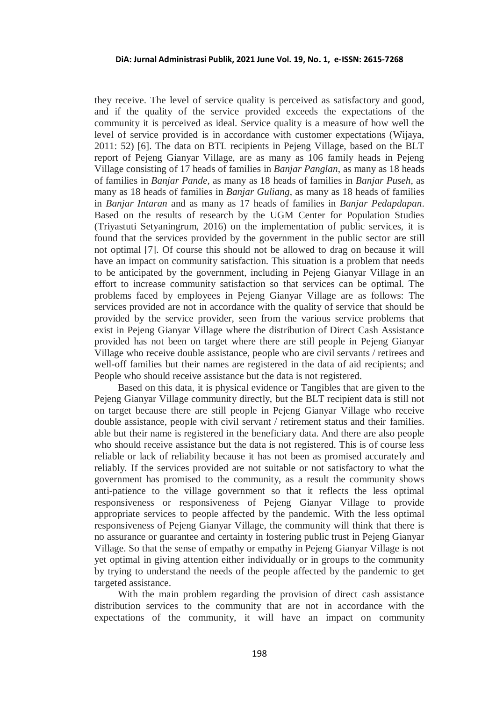they receive. The level of service quality is perceived as satisfactory and good, and if the quality of the service provided exceeds the expectations of the community it is perceived as ideal. Service quality is a measure of how well the level of service provided is in accordance with customer expectations (Wijaya, 2011: 52) [6]. The data on BTL recipients in Pejeng Village, based on the BLT report of Pejeng Gianyar Village, are as many as 106 family heads in Pejeng Village consisting of 17 heads of families in *Banjar Panglan*, as many as 18 heads of families in *Banjar Pande*, as many as 18 heads of families in *Banjar Puseh*, as many as 18 heads of families in *Banjar Guliang*, as many as 18 heads of families in *Banjar Intaran* and as many as 17 heads of families in *Banjar Pedapdapan*. Based on the results of research by the UGM Center for Population Studies (Triyastuti Setyaningrum, 2016) on the implementation of public services, it is found that the services provided by the government in the public sector are still not optimal [7]. Of course this should not be allowed to drag on because it will have an impact on community satisfaction. This situation is a problem that needs to be anticipated by the government, including in Pejeng Gianyar Village in an effort to increase community satisfaction so that services can be optimal. The problems faced by employees in Pejeng Gianyar Village are as follows: The services provided are not in accordance with the quality of service that should be provided by the service provider, seen from the various service problems that exist in Pejeng Gianyar Village where the distribution of Direct Cash Assistance provided has not been on target where there are still people in Pejeng Gianyar Village who receive double assistance, people who are civil servants / retirees and well-off families but their names are registered in the data of aid recipients; and People who should receive assistance but the data is not registered.

Based on this data, it is physical evidence or Tangibles that are given to the Pejeng Gianyar Village community directly, but the BLT recipient data is still not on target because there are still people in Pejeng Gianyar Village who receive double assistance, people with civil servant / retirement status and their families. able but their name is registered in the beneficiary data. And there are also people who should receive assistance but the data is not registered. This is of course less reliable or lack of reliability because it has not been as promised accurately and reliably. If the services provided are not suitable or not satisfactory to what the government has promised to the community, as a result the community shows anti-patience to the village government so that it reflects the less optimal responsiveness or responsiveness of Pejeng Gianyar Village to provide appropriate services to people affected by the pandemic. With the less optimal responsiveness of Pejeng Gianyar Village, the community will think that there is no assurance or guarantee and certainty in fostering public trust in Pejeng Gianyar Village. So that the sense of empathy or empathy in Pejeng Gianyar Village is not yet optimal in giving attention either individually or in groups to the community by trying to understand the needs of the people affected by the pandemic to get targeted assistance.

With the main problem regarding the provision of direct cash assistance distribution services to the community that are not in accordance with the expectations of the community, it will have an impact on community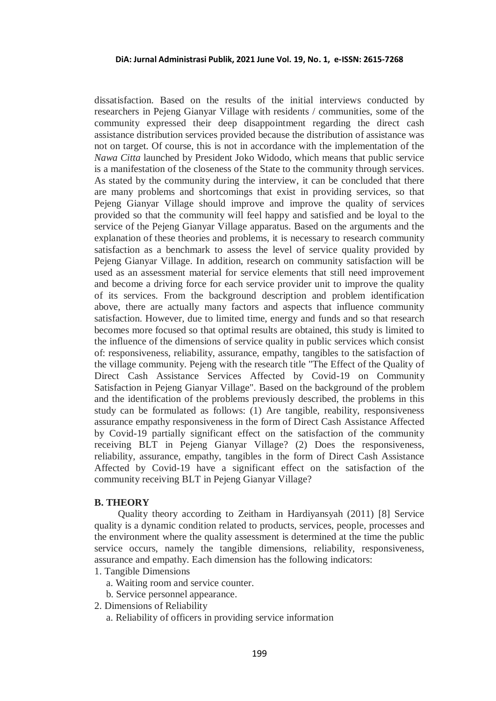dissatisfaction. Based on the results of the initial interviews conducted by researchers in Pejeng Gianyar Village with residents / communities, some of the community expressed their deep disappointment regarding the direct cash assistance distribution services provided because the distribution of assistance was not on target. Of course, this is not in accordance with the implementation of the *Nawa Citta* launched by President Joko Widodo, which means that public service is a manifestation of the closeness of the State to the community through services. As stated by the community during the interview, it can be concluded that there are many problems and shortcomings that exist in providing services, so that Pejeng Gianyar Village should improve and improve the quality of services provided so that the community will feel happy and satisfied and be loyal to the service of the Pejeng Gianyar Village apparatus. Based on the arguments and the explanation of these theories and problems, it is necessary to research community satisfaction as a benchmark to assess the level of service quality provided by Pejeng Gianyar Village. In addition, research on community satisfaction will be used as an assessment material for service elements that still need improvement and become a driving force for each service provider unit to improve the quality of its services. From the background description and problem identification above, there are actually many factors and aspects that influence community satisfaction. However, due to limited time, energy and funds and so that research becomes more focused so that optimal results are obtained, this study is limited to the influence of the dimensions of service quality in public services which consist of: responsiveness, reliability, assurance, empathy, tangibles to the satisfaction of the village community. Pejeng with the research title "The Effect of the Quality of Direct Cash Assistance Services Affected by Covid-19 on Community Satisfaction in Pejeng Gianyar Village". Based on the background of the problem and the identification of the problems previously described, the problems in this study can be formulated as follows: (1) Are tangible, reability, responsiveness assurance empathy responsiveness in the form of Direct Cash Assistance Affected by Covid-19 partially significant effect on the satisfaction of the community receiving BLT in Pejeng Gianyar Village? (2) Does the responsiveness, reliability, assurance, empathy, tangibles in the form of Direct Cash Assistance Affected by Covid-19 have a significant effect on the satisfaction of the community receiving BLT in Pejeng Gianyar Village?

#### **B. THEORY**

Quality theory according to Zeitham in Hardiyansyah (2011) [8] Service quality is a dynamic condition related to products, services, people, processes and the environment where the quality assessment is determined at the time the public service occurs, namely the tangible dimensions, reliability, responsiveness, assurance and empathy. Each dimension has the following indicators:

- 1. Tangible Dimensions
	- a. Waiting room and service counter.
	- b. Service personnel appearance.
- 2. Dimensions of Reliability
	- a. Reliability of officers in providing service information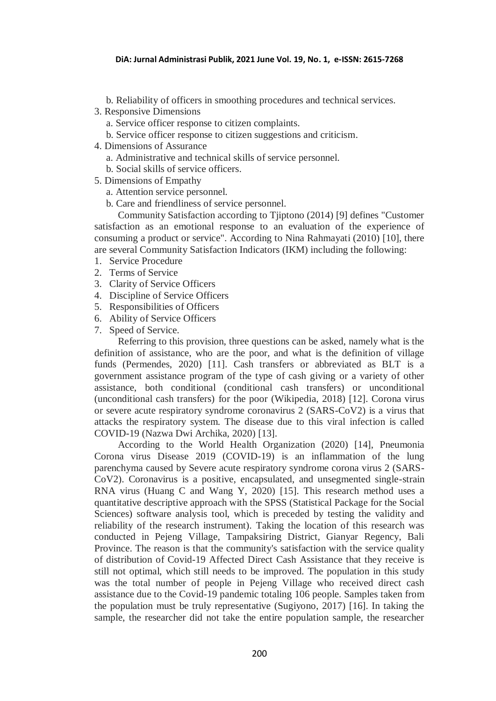- b. Reliability of officers in smoothing procedures and technical services.
- 3. Responsive Dimensions
	- a. Service officer response to citizen complaints.
	- b. Service officer response to citizen suggestions and criticism.
- 4. Dimensions of Assurance
	- a. Administrative and technical skills of service personnel.
	- b. Social skills of service officers.
- 5. Dimensions of Empathy
	- a. Attention service personnel.
	- b. Care and friendliness of service personnel.

Community Satisfaction according to Tjiptono (2014) [9] defines "Customer satisfaction as an emotional response to an evaluation of the experience of consuming a product or service". According to Nina Rahmayati (2010) [10], there are several Community Satisfaction Indicators (IKM) including the following:

- 1. Service Procedure
- 2. Terms of Service
- 3. Clarity of Service Officers
- 4. Discipline of Service Officers
- 5. Responsibilities of Officers
- 6. Ability of Service Officers
- 7. Speed of Service.

Referring to this provision, three questions can be asked, namely what is the definition of assistance, who are the poor, and what is the definition of village funds (Permendes, 2020) [11]. Cash transfers or abbreviated as BLT is a government assistance program of the type of cash giving or a variety of other assistance, both conditional (conditional cash transfers) or unconditional (unconditional cash transfers) for the poor (Wikipedia, 2018) [12]. Corona virus or severe acute respiratory syndrome coronavirus 2 (SARS-CoV2) is a virus that attacks the respiratory system. The disease due to this viral infection is called COVID-19 (Nazwa Dwi Archika, 2020) [13].

According to the World Health Organization (2020) [14], Pneumonia Corona virus Disease 2019 (COVID-19) is an inflammation of the lung parenchyma caused by Severe acute respiratory syndrome corona virus 2 (SARS-CoV2). Coronavirus is a positive, encapsulated, and unsegmented single-strain RNA virus (Huang C and Wang Y, 2020) [15]. This research method uses a quantitative descriptive approach with the SPSS (Statistical Package for the Social Sciences) software analysis tool, which is preceded by testing the validity and reliability of the research instrument). Taking the location of this research was conducted in Pejeng Village, Tampaksiring District, Gianyar Regency, Bali Province. The reason is that the community's satisfaction with the service quality of distribution of Covid-19 Affected Direct Cash Assistance that they receive is still not optimal, which still needs to be improved. The population in this study was the total number of people in Pejeng Village who received direct cash assistance due to the Covid-19 pandemic totaling 106 people. Samples taken from the population must be truly representative (Sugiyono, 2017) [16]. In taking the sample, the researcher did not take the entire population sample, the researcher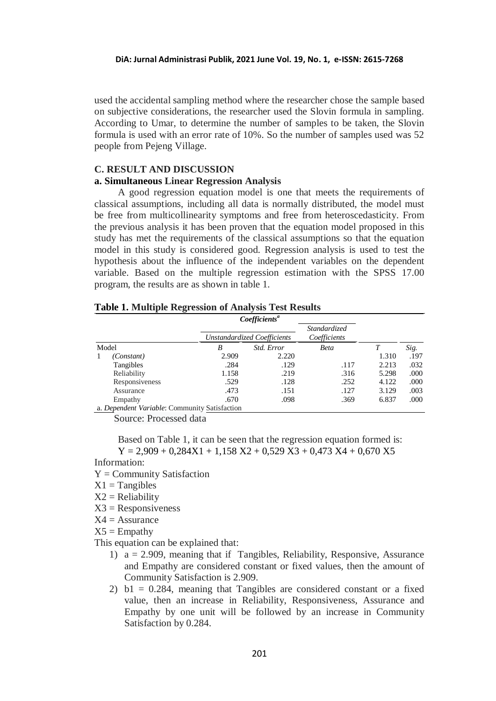used the accidental sampling method where the researcher chose the sample based on subjective considerations, the researcher used the Slovin formula in sampling. According to Umar, to determine the number of samples to be taken, the Slovin formula is used with an error rate of 10%. So the number of samples used was 52 people from Pejeng Village.

## **C. RESULT AND DISCUSSION a. Simultaneous Linear Regression Analysis**

A good regression equation model is one that meets the requirements of classical assumptions, including all data is normally distributed, the model must be free from multicollinearity symptoms and free from heteroscedasticity. From the previous analysis it has been proven that the equation model proposed in this study has met the requirements of the classical assumptions so that the equation model in this study is considered good. Regression analysis is used to test the hypothesis about the influence of the independent variables on the dependent variable. Based on the multiple regression estimation with the SPSS 17.00 program, the results are as shown in table 1.

### **Table 1. Multiple Regression of Analysis Test Results**

|       |                                               |       | <i>Coefficients<sup>a</sup></i> |                              |       |      |
|-------|-----------------------------------------------|-------|---------------------------------|------------------------------|-------|------|
|       |                                               |       | Unstandardized Coefficients     | Standardized<br>Coefficients |       | Sig. |
| Model |                                               | B     | Std. Error                      | <b>Beta</b>                  |       |      |
|       | (Constant)                                    | 2.909 | 2.220                           |                              | 1.310 | .197 |
|       | Tangibles                                     | .284  | .129                            | .117                         | 2.213 | .032 |
|       | Reliability                                   | 1.158 | .219                            | .316                         | 5.298 | .000 |
|       | Responsiveness                                | .529  | .128                            | .252                         | 4.122 | .000 |
|       | Assurance                                     | .473  | .151                            | .127                         | 3.129 | .003 |
|       | Empathy                                       | .670  | .098                            | .369                         | 6.837 | .000 |
|       | a. Dependent Variable: Community Satisfaction |       |                                 |                              |       |      |

Source: Processed data

Based on Table 1, it can be seen that the regression equation formed is:  $Y = 2,909 + 0,284X1 + 1,158 X2 + 0,529 X3 + 0,473 X4 + 0,670 X5$ 

#### Information:

- $Y =$  Community Satisfaction
- $X1 = Tangibles$
- $X2 = Reliability$
- $X3 =$ Responsiveness
- $X4 =$  Assurance

 $X5 =$  Empathy

This equation can be explained that:

- 1) a = 2.909, meaning that if Tangibles, Reliability, Responsive, Assurance and Empathy are considered constant or fixed values, then the amount of Community Satisfaction is 2.909.
- 2) b1 = 0.284, meaning that Tangibles are considered constant or a fixed value, then an increase in Reliability, Responsiveness, Assurance and Empathy by one unit will be followed by an increase in Community Satisfaction by 0.284.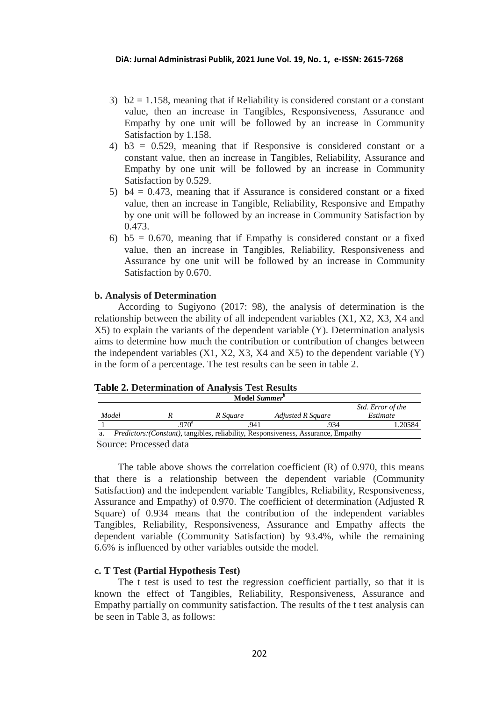- 3)  $b2 = 1.158$ , meaning that if Reliability is considered constant or a constant value, then an increase in Tangibles, Responsiveness, Assurance and Empathy by one unit will be followed by an increase in Community Satisfaction by 1.158.
- 4) b3 = 0.529, meaning that if Responsive is considered constant or a constant value, then an increase in Tangibles, Reliability, Assurance and Empathy by one unit will be followed by an increase in Community Satisfaction by 0.529.
- 5) b4 = 0.473, meaning that if Assurance is considered constant or a fixed value, then an increase in Tangible, Reliability, Responsive and Empathy by one unit will be followed by an increase in Community Satisfaction by 0.473.
- 6)  $b5 = 0.670$ , meaning that if Empathy is considered constant or a fixed value, then an increase in Tangibles, Reliability, Responsiveness and Assurance by one unit will be followed by an increase in Community Satisfaction by 0.670.

### **b. Analysis of Determination**

According to Sugiyono (2017: 98), the analysis of determination is the relationship between the ability of all independent variables (X1, X2, X3, X4 and X5) to explain the variants of the dependent variable (Y). Determination analysis aims to determine how much the contribution or contribution of changes between the independent variables  $(X1, X2, X3, X4$  and  $X5)$  to the dependent variable  $(Y)$ in the form of a percentage. The test results can be seen in table 2.

### **Table 2. Determination of Analysis Test Results**

|       | Model Summer <sup>b</sup>                                                                  |          |                   |                   |  |  |  |
|-------|--------------------------------------------------------------------------------------------|----------|-------------------|-------------------|--|--|--|
|       |                                                                                            |          |                   | Std. Error of the |  |  |  |
| Model |                                                                                            | R Sauare | Adjusted R Square | Estimate          |  |  |  |
|       | $970^a$                                                                                    | .941     | .934              | 1.20584           |  |  |  |
|       | <i>Predictors: (Constant)</i> , tangibles, reliability, Responsiveness, Assurance, Empathy |          |                   |                   |  |  |  |
|       |                                                                                            |          |                   |                   |  |  |  |

Source: Processed data

The table above shows the correlation coefficient (R) of 0.970, this means that there is a relationship between the dependent variable (Community Satisfaction) and the independent variable Tangibles, Reliability, Responsiveness, Assurance and Empathy) of 0.970. The coefficient of determination (Adjusted R Square) of 0.934 means that the contribution of the independent variables Tangibles, Reliability, Responsiveness, Assurance and Empathy affects the dependent variable (Community Satisfaction) by 93.4%, while the remaining 6.6% is influenced by other variables outside the model.

## **c. T Test (Partial Hypothesis Test)**

The t test is used to test the regression coefficient partially, so that it is known the effect of Tangibles, Reliability, Responsiveness, Assurance and Empathy partially on community satisfaction. The results of the t test analysis can be seen in Table 3, as follows: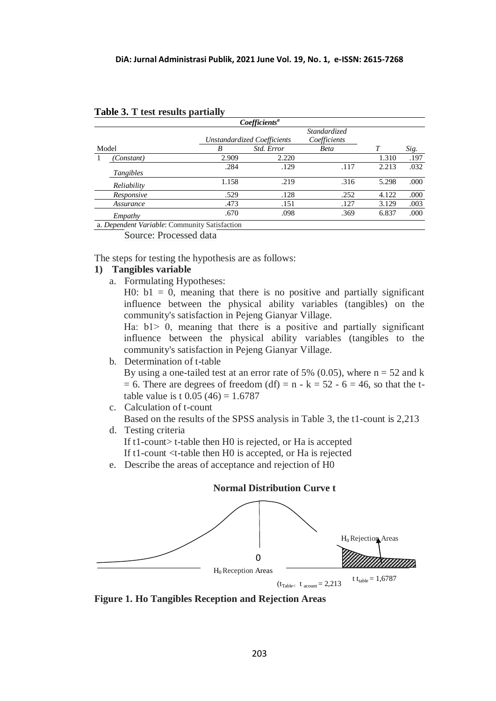|       | Coefficients <sup>a</sup> |                             |                     |              |       |      |  |  |
|-------|---------------------------|-----------------------------|---------------------|--------------|-------|------|--|--|
|       |                           |                             | <i>Standardized</i> |              |       |      |  |  |
|       |                           | Unstandardized Coefficients |                     | Coefficients |       |      |  |  |
| Model |                           | B                           | Std. Error          | <b>Beta</b>  |       | Sig. |  |  |
|       | (Constant)                | 2.909                       | 2.220               |              | 1.310 | .197 |  |  |
|       | Tangibles                 | .284                        | .129                | .117         | 2.213 | .032 |  |  |
|       | Reliability               | 1.158                       | .219                | .316         | 5.298 | .000 |  |  |
|       | Responsive                | .529                        | .128                | .252         | 4.122 | .000 |  |  |
|       | Assurance                 | .473                        | .151                | .127         | 3.129 | .003 |  |  |
|       | Empathy                   | .670                        | .098                | .369         | 6.837 | .000 |  |  |

| Table 3. T test results partially |  |  |  |
|-----------------------------------|--|--|--|
|-----------------------------------|--|--|--|

a. *Dependent Variable*: Community Satisfaction

Source: Processed data

The steps for testing the hypothesis are as follows:

# **1) Tangibles variable**

a. Formulating Hypotheses:

H0:  $b1 = 0$ , meaning that there is no positive and partially significant influence between the physical ability variables (tangibles) on the community's satisfaction in Pejeng Gianyar Village.

Ha:  $b1 > 0$ , meaning that there is a positive and partially significant influence between the physical ability variables (tangibles to the community's satisfaction in Pejeng Gianyar Village.

# b. Determination of t-table

By using a one-tailed test at an error rate of 5% (0.05), where  $n = 52$  and k  $= 6$ . There are degrees of freedom (df)  $= n - k = 52 - 6 = 46$ , so that the ttable value is t  $0.05(46) = 1.6787$ 

c. Calculation of t-count

Based on the results of the SPSS analysis in Table 3, the t1-count is 2,213

d. Testing criteria

If t1-count> t-table then H0 is rejected, or Ha is accepted

If t1-count <t-table then H0 is accepted, or Ha is rejected

e. Describe the areas of acceptance and rejection of H0



**Normal Distribution Curve t**

**Figure 1. Ho Tangibles Reception and Rejection Areas**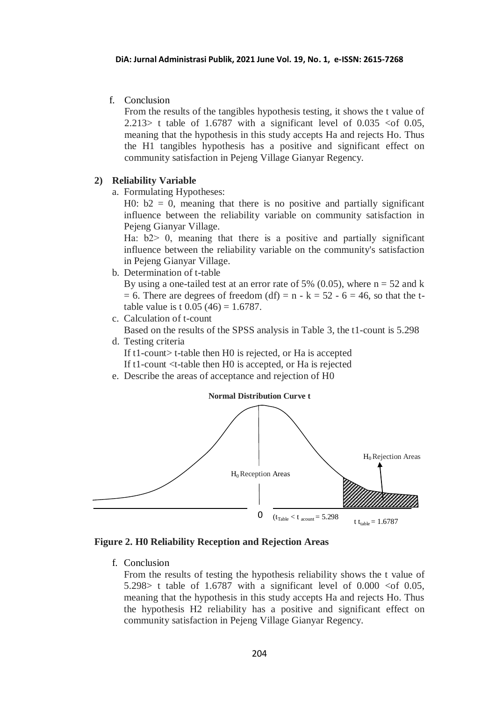f. Conclusion

From the results of the tangibles hypothesis testing, it shows the t value of 2.213> t table of 1.6787 with a significant level of  $0.035 < 0.05$ , meaning that the hypothesis in this study accepts Ha and rejects Ho. Thus the H1 tangibles hypothesis has a positive and significant effect on community satisfaction in Pejeng Village Gianyar Regency.

# **2) Reliability Variable**

a. Formulating Hypotheses:

H0:  $b2 = 0$ , meaning that there is no positive and partially significant influence between the reliability variable on community satisfaction in Pejeng Gianyar Village.

Ha:  $b2$  0, meaning that there is a positive and partially significant influence between the reliability variable on the community's satisfaction in Pejeng Gianyar Village.

b. Determination of t-table

By using a one-tailed test at an error rate of 5% (0.05), where  $n = 52$  and k  $= 6$ . There are degrees of freedom (df)  $= n - k = 52 - 6 = 46$ , so that the ttable value is t  $0.05(46) = 1.6787$ .

- c. Calculation of t-count Based on the results of the SPSS analysis in Table 3, the t1-count is 5.298
- d. Testing criteria

If t1-count> t-table then H0 is rejected, or Ha is accepted If t1-count <t-table then H0 is accepted, or Ha is rejected

e. Describe the areas of acceptance and rejection of H0



**Figure 2. H0 Reliability Reception and Rejection Areas**

f. Conclusion

From the results of testing the hypothesis reliability shows the t value of 5.298> t table of 1.6787 with a significant level of  $0.000 <$  of  $0.05$ , meaning that the hypothesis in this study accepts Ha and rejects Ho. Thus the hypothesis H2 reliability has a positive and significant effect on community satisfaction in Pejeng Village Gianyar Regency.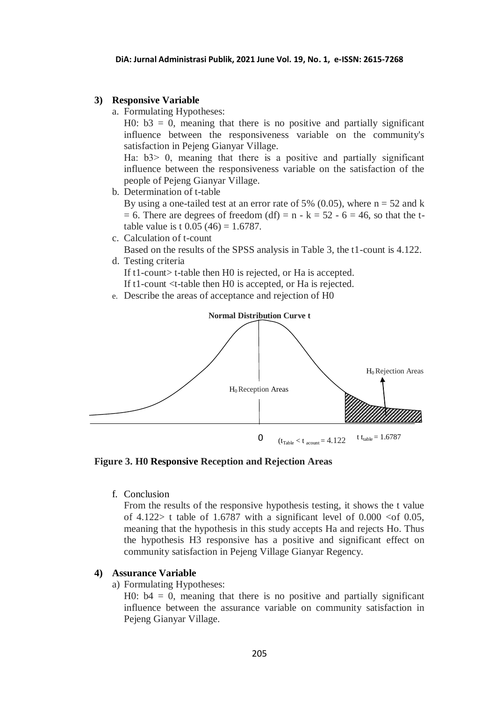### **3) Responsive Variable**

a. Formulating Hypotheses:

H0:  $b3 = 0$ , meaning that there is no positive and partially significant influence between the responsiveness variable on the community's satisfaction in Pejeng Gianyar Village.

Ha:  $b3$  0, meaning that there is a positive and partially significant influence between the responsiveness variable on the satisfaction of the people of Pejeng Gianyar Village.

b. Determination of t-table

By using a one-tailed test at an error rate of 5% (0.05), where  $n = 52$  and k  $= 6$ . There are degrees of freedom (df)  $= n - k = 52 - 6 = 46$ , so that the ttable value is t  $0.05(46) = 1.6787$ .

c. Calculation of t-count

Based on the results of the SPSS analysis in Table 3, the t1-count is 4.122. d. Testing criteria

If t1-count> t-table then H0 is rejected, or Ha is accepted.

If t1-count <t-table then H0 is accepted, or Ha is rejected.

e. Describe the areas of acceptance and rejection of H0



**Figure 3. H0 Responsive Reception and Rejection Areas**

f. Conclusion

From the results of the responsive hypothesis testing, it shows the t value of 4.122> t table of 1.6787 with a significant level of  $0.000 <$  of  $0.05$ , meaning that the hypothesis in this study accepts Ha and rejects Ho. Thus the hypothesis H3 responsive has a positive and significant effect on community satisfaction in Pejeng Village Gianyar Regency.

## **4) Assurance Variable**

a) Formulating Hypotheses:

H0:  $b4 = 0$ , meaning that there is no positive and partially significant influence between the assurance variable on community satisfaction in Pejeng Gianyar Village.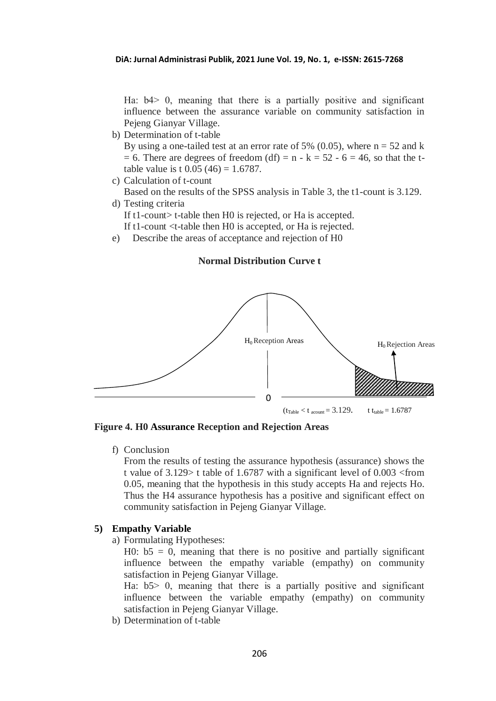Ha:  $b4$  0, meaning that there is a partially positive and significant influence between the assurance variable on community satisfaction in Pejeng Gianyar Village.

b) Determination of t-table

By using a one-tailed test at an error rate of 5% (0.05), where  $n = 52$  and k  $= 6$ . There are degrees of freedom (df)  $= n - k = 52 - 6 = 46$ , so that the ttable value is t  $0.05(46) = 1.6787$ .

c) Calculation of t-count

Based on the results of the SPSS analysis in Table 3, the t1-count is 3.129. d) Testing criteria

If t1-count t-table then H0 is rejected, or Ha is accepted.

If t1-count <t-table then H0 is accepted, or Ha is rejected.

e) Describe the areas of acceptance and rejection of H0

# **Normal Distribution Curve t**



**Figure 4. H0 Assurance Reception and Rejection Areas**

f) Conclusion

From the results of testing the assurance hypothesis (assurance) shows the t value of 3.129> t table of 1.6787 with a significant level of 0.003 <from 0.05, meaning that the hypothesis in this study accepts Ha and rejects Ho. Thus the H4 assurance hypothesis has a positive and significant effect on community satisfaction in Pejeng Gianyar Village.

## **5) Empathy Variable**

a) Formulating Hypotheses:

H0:  $b5 = 0$ , meaning that there is no positive and partially significant influence between the empathy variable (empathy) on community satisfaction in Pejeng Gianyar Village.

Ha:  $b5$  0, meaning that there is a partially positive and significant influence between the variable empathy (empathy) on community satisfaction in Pejeng Gianyar Village.

b) Determination of t-table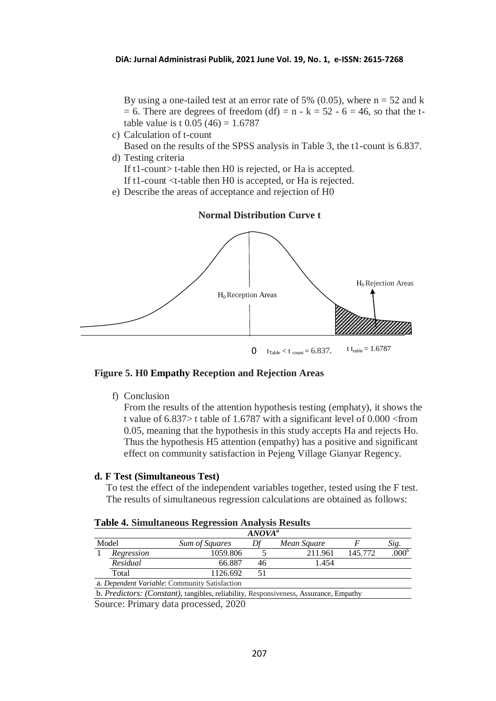By using a one-tailed test at an error rate of 5% (0.05), where  $n = 52$  and k  $= 6$ . There are degrees of freedom (df)  $= n - k = 52 - 6 = 46$ , so that the ttable value is t  $0.05(46) = 1.6787$ 

c) Calculation of t-count

Based on the results of the SPSS analysis in Table 3, the t1-count is 6.837. d) Testing criteria

If t1-count> t-table then H0 is rejected, or Ha is accepted.

If t1-count <t-table then H0 is accepted, or Ha is rejected.

e) Describe the areas of acceptance and rejection of H0



## **Figure 5. H0 Empathy Reception and Rejection Areas**

f) Conclusion

From the results of the attention hypothesis testing (emphaty), it shows the t value of 6.837> t table of 1.6787 with a significant level of 0.000 <from 0.05, meaning that the hypothesis in this study accepts Ha and rejects Ho. Thus the hypothesis H5 attention (empathy) has a positive and significant effect on community satisfaction in Pejeng Village Gianyar Regency.

#### **d. F Test (Simultaneous Test)**

To test the effect of the independent variables together, tested using the F test. The results of simultaneous regression calculations are obtained as follows:

|       | ANOVA <sup>a</sup> |                                               |    |             |         |                   |
|-------|--------------------|-----------------------------------------------|----|-------------|---------|-------------------|
| Model |                    | <b>Sum of Squares</b>                         |    | Mean Square |         | Sig.              |
|       | Regression         | 1059.806                                      |    | 211.961     | 145.772 | .000 <sup>b</sup> |
|       | Residual           | 66.887                                        | 46 | 1.454       |         |                   |
|       | Total              | 1126.692                                      |    |             |         |                   |
|       |                    | a. Dependent Variable: Community Satisfaction |    |             |         |                   |

# **Table 4. Simultaneous Regression Analysis Results**

b. *Predictors: (Constant),* tangibles, reliability, Responsiveness, Assurance, Empathy

Source: Primary data processed, 2020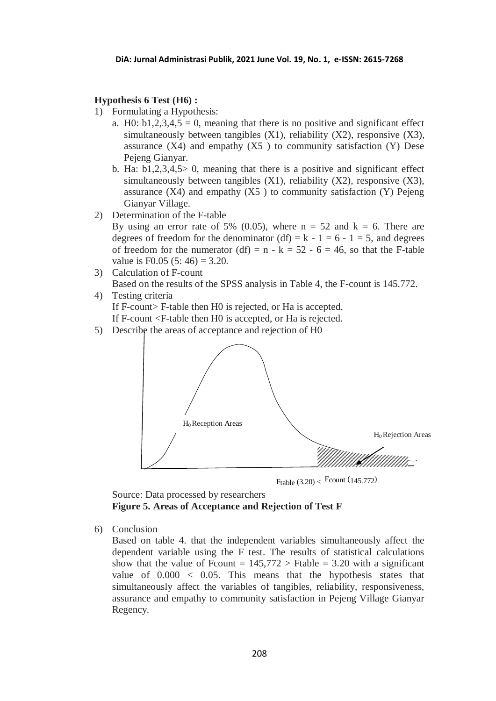### **Hypothesis 6 Test (H6) :**

- 1) Formulating a Hypothesis:
	- a. H0:  $b1,2,3,4,5 = 0$ , meaning that there is no positive and significant effect simultaneously between tangibles  $(X1)$ , reliability  $(X2)$ , responsive  $(X3)$ , assurance  $(X4)$  and empathy  $(X5)$  to community satisfaction  $(Y)$  Dese Pejeng Gianyar.
	- b. Ha:  $b1,2,3,4,5>0$ , meaning that there is a positive and significant effect simultaneously between tangibles  $(X1)$ , reliability  $(X2)$ , responsive  $(X3)$ , assurance  $(X4)$  and empathy  $(X5)$  to community satisfaction  $(Y)$  Pejeng Gianyar Village.
- 2) Determination of the F-table
	- By using an error rate of 5% (0.05), where  $n = 52$  and  $k = 6$ . There are degrees of freedom for the denominator (df) =  $k - 1 = 6 - 1 = 5$ , and degrees of freedom for the numerator (df) =  $n - k = 52 - 6 = 46$ , so that the F-table value is  $F0.05(5:46) = 3.20$ .
- 3) Calculation of F-count Based on the results of the SPSS analysis in Table 4, the F-count is 145.772.
- 4) Testing criteria If F-count> F-table then H0 is rejected, or Ha is accepted. If F-count <F-table then H0 is accepted, or Ha is rejected.
- 5) Describe the areas of acceptance and rejection of H0



Ftable  $(3.20) <$  Fcount  $(145.772)$ 

Source: Data processed by researchers **Figure 5. Areas of Acceptance and Rejection of Test F**

6) Conclusion

Based on table 4. that the independent variables simultaneously affect the dependent variable using the F test. The results of statistical calculations show that the value of Frount  $= 145,772 >$  Ftable  $= 3.20$  with a significant value of  $0.000 < 0.05$ . This means that the hypothesis states that simultaneously affect the variables of tangibles, reliability, responsiveness, assurance and empathy to community satisfaction in Pejeng Village Gianyar Regency.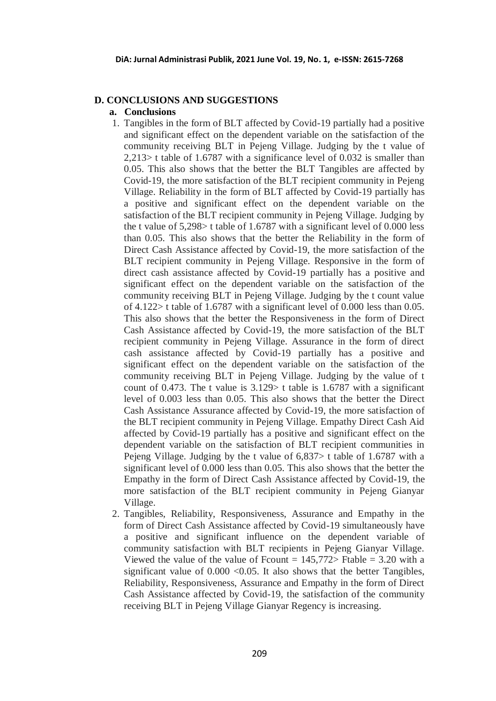# **D. CONCLUSIONS AND SUGGESTIONS**

### **a. Conclusions**

- 1. Tangibles in the form of BLT affected by Covid-19 partially had a positive and significant effect on the dependent variable on the satisfaction of the community receiving BLT in Pejeng Village. Judging by the t value of 2,213> t table of 1.6787 with a significance level of 0.032 is smaller than 0.05. This also shows that the better the BLT Tangibles are affected by Covid-19, the more satisfaction of the BLT recipient community in Pejeng Village. Reliability in the form of BLT affected by Covid-19 partially has a positive and significant effect on the dependent variable on the satisfaction of the BLT recipient community in Pejeng Village. Judging by the t value of 5,298> t table of 1.6787 with a significant level of 0.000 less than 0.05. This also shows that the better the Reliability in the form of Direct Cash Assistance affected by Covid-19, the more satisfaction of the BLT recipient community in Pejeng Village. Responsive in the form of direct cash assistance affected by Covid-19 partially has a positive and significant effect on the dependent variable on the satisfaction of the community receiving BLT in Pejeng Village. Judging by the t count value of 4.122> t table of 1.6787 with a significant level of 0.000 less than 0.05. This also shows that the better the Responsiveness in the form of Direct Cash Assistance affected by Covid-19, the more satisfaction of the BLT recipient community in Pejeng Village. Assurance in the form of direct cash assistance affected by Covid-19 partially has a positive and significant effect on the dependent variable on the satisfaction of the community receiving BLT in Pejeng Village. Judging by the value of t count of 0.473. The t value is  $3.129$  t table is 1.6787 with a significant level of 0.003 less than 0.05. This also shows that the better the Direct Cash Assistance Assurance affected by Covid-19, the more satisfaction of the BLT recipient community in Pejeng Village. Empathy Direct Cash Aid affected by Covid-19 partially has a positive and significant effect on the dependent variable on the satisfaction of BLT recipient communities in Pejeng Village. Judging by the t value of 6,837> t table of 1.6787 with a significant level of 0.000 less than 0.05. This also shows that the better the Empathy in the form of Direct Cash Assistance affected by Covid-19, the more satisfaction of the BLT recipient community in Pejeng Gianyar Village.
- 2. Tangibles, Reliability, Responsiveness, Assurance and Empathy in the form of Direct Cash Assistance affected by Covid-19 simultaneously have a positive and significant influence on the dependent variable of community satisfaction with BLT recipients in Pejeng Gianyar Village. Viewed the value of the value of Fcount  $= 145,772$  Ftable  $= 3.20$  with a significant value of  $0.000 \le 0.05$ . It also shows that the better Tangibles, Reliability, Responsiveness, Assurance and Empathy in the form of Direct Cash Assistance affected by Covid-19, the satisfaction of the community receiving BLT in Pejeng Village Gianyar Regency is increasing.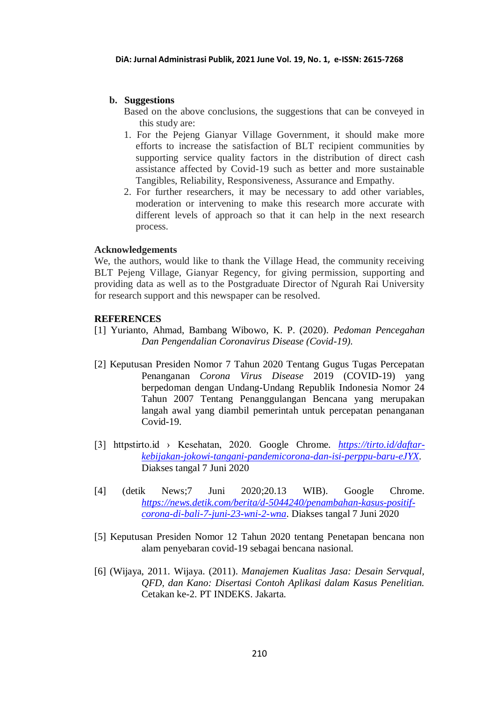# **b. Suggestions**

- Based on the above conclusions, the suggestions that can be conveyed in this study are:
- 1. For the Pejeng Gianyar Village Government, it should make more efforts to increase the satisfaction of BLT recipient communities by supporting service quality factors in the distribution of direct cash assistance affected by Covid-19 such as better and more sustainable Tangibles, Reliability, Responsiveness, Assurance and Empathy.
- 2. For further researchers, it may be necessary to add other variables, moderation or intervening to make this research more accurate with different levels of approach so that it can help in the next research process.

## **Acknowledgements**

We, the authors, would like to thank the Village Head, the community receiving BLT Pejeng Village, Gianyar Regency, for giving permission, supporting and providing data as well as to the Postgraduate Director of Ngurah Rai University for research support and this newspaper can be resolved.

### **REFERENCES**

- [1] Yurianto, Ahmad, Bambang Wibowo, K. P. (2020). *Pedoman Pencegahan Dan Pengendalian Coronavirus Disease (Covid-19).*
- [2] Keputusan Presiden Nomor 7 Tahun 2020 Tentang Gugus Tugas Percepatan Penanganan *Corona Virus Disease* 2019 (COVID-19) yang berpedoman dengan Undang-Undang Republik Indonesia Nomor 24 Tahun 2007 Tentang Penanggulangan Bencana yang merupakan langah awal yang diambil pemerintah untuk percepatan penanganan Covid-19.
- [3] httpstirto.id › Kesehatan, 2020. Google Chrome. *[https://tirto.id/daftar](https://tirto.id/daftar-kebijakan-jokowi-tangani-pandemicorona-dan-isi-perppu-baru-eJYX)[kebijakan-jokowi-tangani-pandemicorona-dan-isi-perppu-baru-eJYX.](https://tirto.id/daftar-kebijakan-jokowi-tangani-pandemicorona-dan-isi-perppu-baru-eJYX)*  Diakses tangal 7 Juni 2020
- [4] (detik News;7 Juni 2020;20.13 WIB). Google Chrome. *[https://news.detik.com/berita/d-5044240/penambahan-kasus-positif](https://news.detik.com/berita/d-5044240/penambahan-kasus-positif-corona-di-bali-7-juni-23-wni-2-wna)[corona-di-bali-7-juni-23-wni-2-wna](https://news.detik.com/berita/d-5044240/penambahan-kasus-positif-corona-di-bali-7-juni-23-wni-2-wna)*. Diakses tangal 7 Juni 2020
- [5] Keputusan Presiden Nomor 12 Tahun 2020 tentang Penetapan bencana non alam penyebaran covid-19 sebagai bencana nasional.
- [6] (Wijaya, 2011. Wijaya. (2011). *Manajemen Kualitas Jasa: Desain Servqual, QFD, dan Kano: Disertasi Contoh Aplikasi dalam Kasus Penelitian.*  Cetakan ke-2. PT INDEKS. Jakarta.